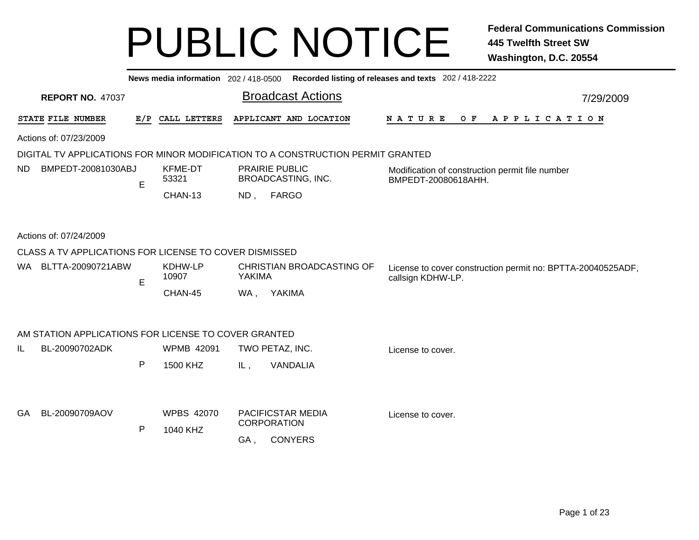|           |                         |                    |   |                                                        |        | News media information 202 / 418-0500 Recorded listing of releases and texts 202 / 418-2222 |                                                                                  |           |
|-----------|-------------------------|--------------------|---|--------------------------------------------------------|--------|---------------------------------------------------------------------------------------------|----------------------------------------------------------------------------------|-----------|
|           | <b>REPORT NO. 47037</b> |                    |   |                                                        |        | <b>Broadcast Actions</b>                                                                    |                                                                                  | 7/29/2009 |
|           | STATE FILE NUMBER       |                    |   | E/P CALL LETTERS                                       |        | APPLICANT AND LOCATION                                                                      | N A T U R E<br>O F<br>A P P L I C A T I O N                                      |           |
|           | Actions of: 07/23/2009  |                    |   |                                                        |        |                                                                                             |                                                                                  |           |
|           |                         |                    |   |                                                        |        | DIGITAL TV APPLICATIONS FOR MINOR MODIFICATION TO A CONSTRUCTION PERMIT GRANTED             |                                                                                  |           |
| <b>ND</b> |                         | BMPEDT-20081030ABJ | E | <b>KFME-DT</b><br>53321                                |        | <b>PRAIRIE PUBLIC</b><br>BROADCASTING, INC.                                                 | Modification of construction permit file number<br>BMPEDT-20080618AHH.           |           |
|           |                         |                    |   | CHAN-13                                                | ND,    | <b>FARGO</b>                                                                                |                                                                                  |           |
|           | Actions of: 07/24/2009  |                    |   |                                                        |        |                                                                                             |                                                                                  |           |
|           |                         |                    |   | CLASS A TV APPLICATIONS FOR LICENSE TO COVER DISMISSED |        |                                                                                             |                                                                                  |           |
|           | WA BLTTA-20090721ABW    |                    | E | KDHW-LP<br>10907                                       | YAKIMA | CHRISTIAN BROADCASTING OF                                                                   | License to cover construction permit no: BPTTA-20040525ADF,<br>callsign KDHW-LP. |           |
|           |                         |                    |   | CHAN-45                                                | WA,    | YAKIMA                                                                                      |                                                                                  |           |
|           |                         |                    |   | AM STATION APPLICATIONS FOR LICENSE TO COVER GRANTED   |        |                                                                                             |                                                                                  |           |
| IL        | BL-20090702ADK          |                    |   | <b>WPMB 42091</b>                                      |        | TWO PETAZ, INC.                                                                             | License to cover.                                                                |           |
|           |                         |                    | P | 1500 KHZ                                               | IL,    | VANDALIA                                                                                    |                                                                                  |           |
|           |                         |                    |   |                                                        |        |                                                                                             |                                                                                  |           |
| GA        | BL-20090709AOV          |                    | P | <b>WPBS 42070</b><br>1040 KHZ                          |        | PACIFICSTAR MEDIA<br><b>CORPORATION</b>                                                     | License to cover.                                                                |           |
|           |                         |                    |   |                                                        | GA.    | <b>CONYERS</b>                                                                              |                                                                                  |           |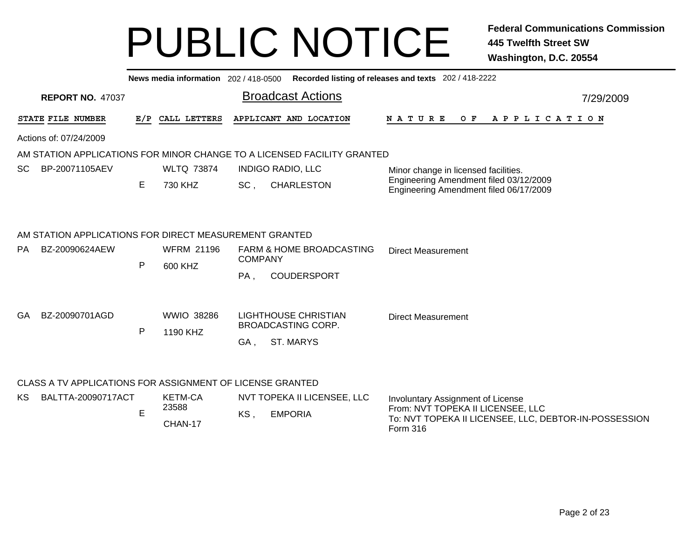|                        |                                                           |     | News media information 202 / 418-0500 |                                                                         | Recorded listing of releases and texts 202 / 418-2222                            |  |  |  |
|------------------------|-----------------------------------------------------------|-----|---------------------------------------|-------------------------------------------------------------------------|----------------------------------------------------------------------------------|--|--|--|
|                        | <b>REPORT NO. 47037</b>                                   |     |                                       | <b>Broadcast Actions</b>                                                | 7/29/2009                                                                        |  |  |  |
|                        | STATE FILE NUMBER                                         | E/P | CALL LETTERS                          | APPLICANT AND LOCATION                                                  | OF APPLICATION<br>N A T U R E                                                    |  |  |  |
| Actions of: 07/24/2009 |                                                           |     |                                       |                                                                         |                                                                                  |  |  |  |
|                        |                                                           |     |                                       | AM STATION APPLICATIONS FOR MINOR CHANGE TO A LICENSED FACILITY GRANTED |                                                                                  |  |  |  |
| SC.                    | BP-20071105AEV                                            |     | <b>WLTQ 73874</b>                     | <b>INDIGO RADIO, LLC</b>                                                | Minor change in licensed facilities.                                             |  |  |  |
|                        | Е<br>730 KHZ                                              |     |                                       | SC,<br><b>CHARLESTON</b>                                                | Engineering Amendment filed 03/12/2009<br>Engineering Amendment filed 06/17/2009 |  |  |  |
|                        | AM STATION APPLICATIONS FOR DIRECT MEASUREMENT GRANTED    |     |                                       |                                                                         |                                                                                  |  |  |  |
| PA.                    | BZ-20090624AEW                                            |     | <b>WFRM 21196</b>                     | <b>FARM &amp; HOME BROADCASTING</b>                                     | <b>Direct Measurement</b>                                                        |  |  |  |
|                        |                                                           | P   | 600 KHZ                               | <b>COMPANY</b>                                                          |                                                                                  |  |  |  |
|                        |                                                           |     |                                       | <b>COUDERSPORT</b><br>PA,                                               |                                                                                  |  |  |  |
| GA.                    | BZ-20090701AGD                                            |     | <b>WWIO 38286</b>                     | <b>LIGHTHOUSE CHRISTIAN</b>                                             | <b>Direct Measurement</b>                                                        |  |  |  |
|                        |                                                           | P   | 1190 KHZ                              | <b>BROADCASTING CORP.</b>                                               |                                                                                  |  |  |  |
|                        |                                                           |     |                                       | <b>ST. MARYS</b><br>GA,                                                 |                                                                                  |  |  |  |
|                        | CLASS A TV APPLICATIONS FOR ASSIGNMENT OF LICENSE GRANTED |     |                                       |                                                                         |                                                                                  |  |  |  |
| KS.                    | BALTTA-20090717ACT                                        |     | <b>KETM-CA</b>                        | NVT TOPEKA II LICENSEE, LLC                                             | Involuntary Assignment of License                                                |  |  |  |
|                        |                                                           | E   | 23588                                 | KS,<br><b>EMPORIA</b>                                                   | From: NVT TOPEKA II LICENSEE, LLC                                                |  |  |  |
|                        |                                                           |     | CHAN-17                               |                                                                         | To: NVT TOPEKA II LICENSEE, LLC, DEBTOR-IN-POSSESSION<br><b>Form 316</b>         |  |  |  |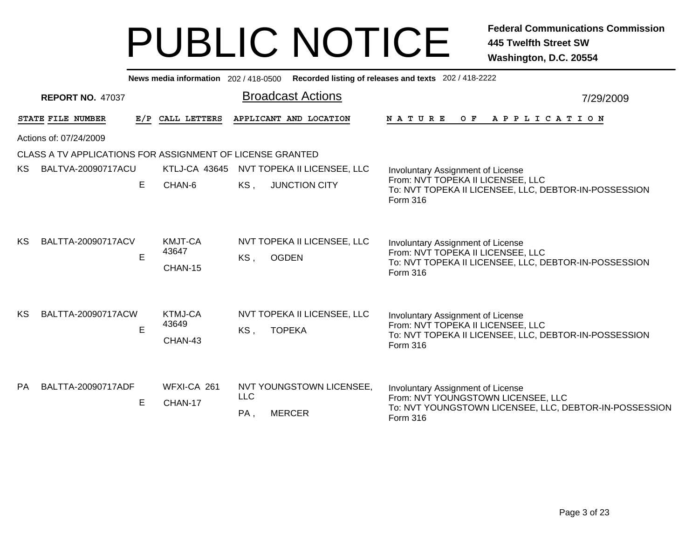|           |                                                           |     |                                    | News media information 202/418-0500 Recorded listing of releases and texts 202/418-2222 |                                                                                                                                               |
|-----------|-----------------------------------------------------------|-----|------------------------------------|-----------------------------------------------------------------------------------------|-----------------------------------------------------------------------------------------------------------------------------------------------|
|           | <b>REPORT NO. 47037</b>                                   |     |                                    | <b>Broadcast Actions</b>                                                                | 7/29/2009                                                                                                                                     |
|           | STATE FILE NUMBER                                         | E/P | CALL LETTERS                       | APPLICANT AND LOCATION                                                                  | <b>NATURE</b><br>OF APPLICATION                                                                                                               |
|           | Actions of: 07/24/2009                                    |     |                                    |                                                                                         |                                                                                                                                               |
|           | CLASS A TV APPLICATIONS FOR ASSIGNMENT OF LICENSE GRANTED |     |                                    |                                                                                         |                                                                                                                                               |
| KS.       | BALTVA-20090717ACU                                        |     | <b>KTLJ-CA 43645</b>               | NVT TOPEKA II LICENSEE, LLC                                                             | Involuntary Assignment of License                                                                                                             |
|           |                                                           | E   | CHAN-6                             | KS,<br><b>JUNCTION CITY</b>                                                             | From: NVT TOPEKA II LICENSEE, LLC<br>To: NVT TOPEKA II LICENSEE, LLC, DEBTOR-IN-POSSESSION<br>Form 316                                        |
| KS        | BALTTA-20090717ACV                                        | E   | <b>KMJT-CA</b><br>43647<br>CHAN-15 | NVT TOPEKA II LICENSEE, LLC<br><b>OGDEN</b><br>KS,                                      | Involuntary Assignment of License<br>From: NVT TOPEKA II LICENSEE, LLC<br>To: NVT TOPEKA II LICENSEE, LLC, DEBTOR-IN-POSSESSION<br>Form 316   |
| KS        | BALTTA-20090717ACW                                        | Е   | <b>KTMJ-CA</b><br>43649<br>CHAN-43 | NVT TOPEKA II LICENSEE, LLC<br><b>TOPEKA</b><br>KS,                                     | Involuntary Assignment of License<br>From: NVT TOPEKA II LICENSEE, LLC<br>To: NVT TOPEKA II LICENSEE, LLC, DEBTOR-IN-POSSESSION<br>Form 316   |
| <b>PA</b> | BALTTA-20090717ADF                                        | E   | WFXI-CA 261<br>CHAN-17             | NVT YOUNGSTOWN LICENSEE,<br><b>LLC</b><br><b>MERCER</b><br>PA,                          | Involuntary Assignment of License<br>From: NVT YOUNGSTOWN LICENSEE, LLC<br>To: NVT YOUNGSTOWN LICENSEE, LLC, DEBTOR-IN-POSSESSION<br>Form 316 |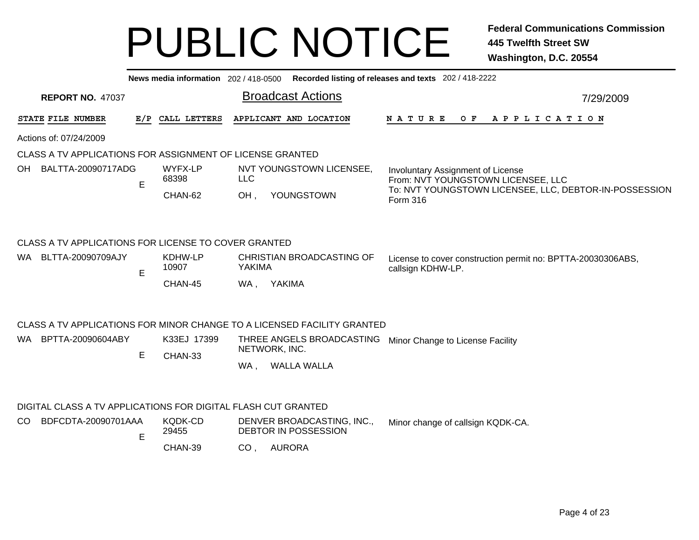|                                                               |     |                  | News media information 202/418-0500 Recorded listing of releases and texts 202/418-2222 |                                                                                  |
|---------------------------------------------------------------|-----|------------------|-----------------------------------------------------------------------------------------|----------------------------------------------------------------------------------|
| <b>REPORT NO. 47037</b>                                       |     |                  | <b>Broadcast Actions</b>                                                                | 7/29/2009                                                                        |
| STATE FILE NUMBER                                             | E/P | CALL LETTERS     | APPLICANT AND LOCATION                                                                  | OF APPLICATION<br>N A T U R E                                                    |
| Actions of: 07/24/2009                                        |     |                  |                                                                                         |                                                                                  |
| CLASS A TV APPLICATIONS FOR ASSIGNMENT OF LICENSE GRANTED     |     |                  |                                                                                         |                                                                                  |
| OH BALTTA-20090717ADG                                         | E   | WYFX-LP<br>68398 | NVT YOUNGSTOWN LICENSEE,<br><b>LLC</b>                                                  | Involuntary Assignment of License<br>From: NVT YOUNGSTOWN LICENSEE, LLC          |
|                                                               |     | CHAN-62          | YOUNGSTOWN<br>OH,                                                                       | To: NVT YOUNGSTOWN LICENSEE, LLC, DEBTOR-IN-POSSESSION<br>Form 316               |
| CLASS A TV APPLICATIONS FOR LICENSE TO COVER GRANTED          |     |                  |                                                                                         |                                                                                  |
| WA BLTTA-20090709AJY                                          | E   | KDHW-LP<br>10907 | CHRISTIAN BROADCASTING OF<br>YAKIMA                                                     | License to cover construction permit no: BPTTA-20030306ABS,<br>callsign KDHW-LP. |
|                                                               |     | CHAN-45          | WA, YAKIMA                                                                              |                                                                                  |
|                                                               |     |                  | CLASS A TV APPLICATIONS FOR MINOR CHANGE TO A LICENSED FACILITY GRANTED                 |                                                                                  |
| WA BPTTA-20090604ABY                                          |     | K33EJ 17399      | THREE ANGELS BROADCASTING<br>NETWORK, INC.                                              | Minor Change to License Facility                                                 |
|                                                               | E   | CHAN-33          | <b>WALLA WALLA</b><br>WA.                                                               |                                                                                  |
| DIGITAL CLASS A TV APPLICATIONS FOR DIGITAL FLASH CUT GRANTED |     |                  |                                                                                         |                                                                                  |
| CO BDFCDTA-20090701AAA                                        |     | KQDK-CD          | DENVER BROADCASTING, INC.,                                                              | Minor change of callsign KODK-CA                                                 |

CHAN-39 , AURORA CO EDENVER BROADCASTING, INC., Minor change of callsign KQDK-CA. DEBTOR IN POSSESSIONKQDK-CD 29455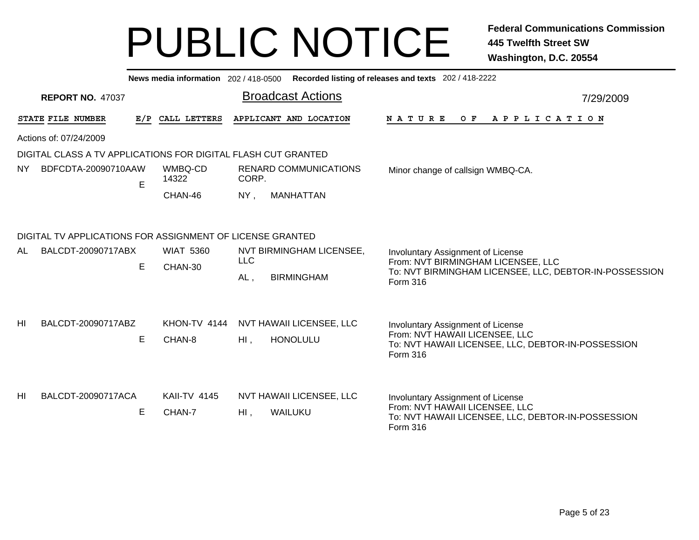|                |                                                           |     | News media information 202/418-0500 |                                                               | Recorded listing of releases and texts 202 / 418-2222                                                                     |  |  |  |  |
|----------------|-----------------------------------------------------------|-----|-------------------------------------|---------------------------------------------------------------|---------------------------------------------------------------------------------------------------------------------------|--|--|--|--|
|                | <b>REPORT NO. 47037</b>                                   |     |                                     | <b>Broadcast Actions</b>                                      | 7/29/2009                                                                                                                 |  |  |  |  |
|                | STATE FILE NUMBER                                         | E/P | CALL LETTERS                        | APPLICANT AND LOCATION                                        | <b>NATURE</b><br>O F<br>APPLICATION                                                                                       |  |  |  |  |
|                | Actions of: 07/24/2009                                    |     |                                     |                                                               |                                                                                                                           |  |  |  |  |
|                |                                                           |     |                                     | DIGITAL CLASS A TV APPLICATIONS FOR DIGITAL FLASH CUT GRANTED |                                                                                                                           |  |  |  |  |
| NY.            | BDFCDTA-20090710AAW                                       | E   | WMBQ-CD<br>14322                    | <b>RENARD COMMUNICATIONS</b><br>CORP.                         | Minor change of callsign WMBQ-CA.                                                                                         |  |  |  |  |
|                |                                                           |     | CHAN-46                             | NY,<br><b>MANHATTAN</b>                                       |                                                                                                                           |  |  |  |  |
|                | DIGITAL TV APPLICATIONS FOR ASSIGNMENT OF LICENSE GRANTED |     |                                     |                                                               |                                                                                                                           |  |  |  |  |
| AL             | BALCDT-20090717ABX                                        |     | <b>WIAT 5360</b>                    | NVT BIRMINGHAM LICENSEE,<br><b>LLC</b>                        | Involuntary Assignment of License<br>From: NVT BIRMINGHAM LICENSEE, LLC                                                   |  |  |  |  |
|                |                                                           | E   | CHAN-30                             | <b>BIRMINGHAM</b><br>$AL$ ,                                   | To: NVT BIRMINGHAM LICENSEE, LLC, DEBTOR-IN-POSSESSION<br>Form 316                                                        |  |  |  |  |
|                |                                                           |     |                                     |                                                               |                                                                                                                           |  |  |  |  |
| H <sub>l</sub> | BALCDT-20090717ABZ                                        | E   | KHON-TV 4144<br>CHAN-8              | NVT HAWAII LICENSEE, LLC<br>$HI$ ,<br><b>HONOLULU</b>         | Involuntary Assignment of License<br>From: NVT HAWAII LICENSEE, LLC<br>To: NVT HAWAII LICENSEE, LLC, DEBTOR-IN-POSSESSION |  |  |  |  |
|                |                                                           |     |                                     |                                                               | Form 316                                                                                                                  |  |  |  |  |
| HI             | BALCDT-20090717ACA                                        |     | <b>KAII-TV 4145</b>                 | NVT HAWAII LICENSEE, LLC                                      | Involuntary Assignment of License                                                                                         |  |  |  |  |
|                |                                                           | E   | CHAN-7                              | WAILUKU<br>$HI$ ,                                             | From: NVT HAWAII LICENSEE, LLC<br>To: NVT HAWAII LICENSEE, LLC, DEBTOR-IN-POSSESSION<br>Form 316                          |  |  |  |  |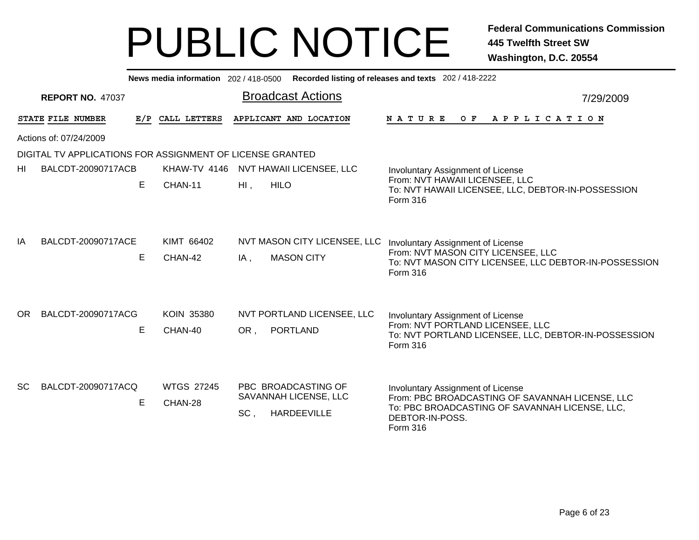|                          |                                                           |     |                              | News media information 202/418-0500 Recorded listing of releases and texts 202/418-2222 |                                                                                                                                                                       |  |  |  |  |
|--------------------------|-----------------------------------------------------------|-----|------------------------------|-----------------------------------------------------------------------------------------|-----------------------------------------------------------------------------------------------------------------------------------------------------------------------|--|--|--|--|
|                          | <b>REPORT NO. 47037</b>                                   |     |                              | <b>Broadcast Actions</b>                                                                | 7/29/2009                                                                                                                                                             |  |  |  |  |
|                          | STATE FILE NUMBER                                         | E/P | CALL LETTERS                 | APPLICANT AND LOCATION                                                                  | N A T U R E<br>O F<br>A P P L I C A T I O N                                                                                                                           |  |  |  |  |
|                          | Actions of: 07/24/2009                                    |     |                              |                                                                                         |                                                                                                                                                                       |  |  |  |  |
|                          | DIGITAL TV APPLICATIONS FOR ASSIGNMENT OF LICENSE GRANTED |     |                              |                                                                                         |                                                                                                                                                                       |  |  |  |  |
| BALCDT-20090717ACB<br>HI |                                                           |     | KHAW-TV 4146                 | NVT HAWAII LICENSEE, LLC                                                                | Involuntary Assignment of License                                                                                                                                     |  |  |  |  |
|                          |                                                           | E.  | CHAN-11                      | $HI$ ,<br><b>HILO</b>                                                                   | From: NVT HAWAII LICENSEE, LLC<br>To: NVT HAWAII LICENSEE, LLC, DEBTOR-IN-POSSESSION<br>Form 316                                                                      |  |  |  |  |
| IA                       | BALCDT-20090717ACE                                        | E.  | KIMT 66402<br>CHAN-42        | NVT MASON CITY LICENSEE, LLC<br><b>MASON CITY</b><br>IA,                                | Involuntary Assignment of License<br>From: NVT MASON CITY LICENSEE, LLC<br>To: NVT MASON CITY LICENSEE, LLC DEBTOR-IN-POSSESSION<br>Form 316                          |  |  |  |  |
| OR.                      | BALCDT-20090717ACG                                        | Е   | <b>KOIN 35380</b><br>CHAN-40 | NVT PORTLAND LICENSEE, LLC<br><b>PORTLAND</b><br>OR.                                    | Involuntary Assignment of License<br>From: NVT PORTLAND LICENSEE, LLC<br>To: NVT PORTLAND LICENSEE, LLC, DEBTOR-IN-POSSESSION<br>Form 316                             |  |  |  |  |
| SC.                      | BALCDT-20090717ACQ                                        | E.  | <b>WTGS 27245</b><br>CHAN-28 | PBC BROADCASTING OF<br>SAVANNAH LICENSE, LLC<br>SC.<br><b>HARDEEVILLE</b>               | Involuntary Assignment of License<br>From: PBC BROADCASTING OF SAVANNAH LICENSE, LLC<br>To: PBC BROADCASTING OF SAVANNAH LICENSE, LLC,<br>DEBTOR-IN-POSS.<br>Form 316 |  |  |  |  |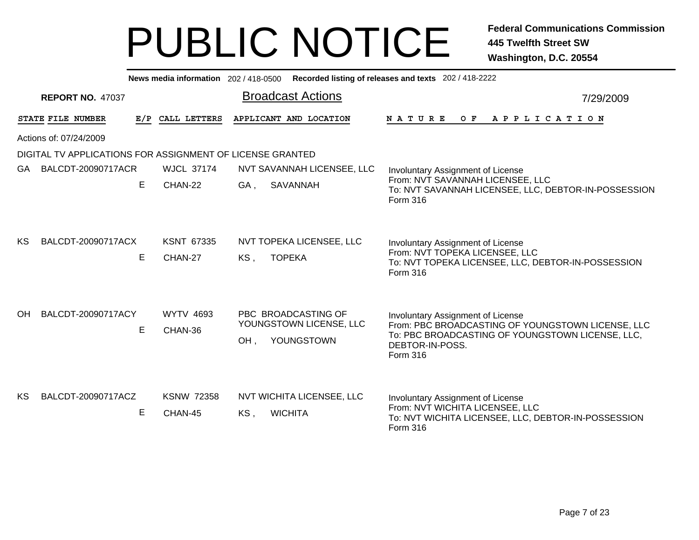|                            |                                                           |    |                              | News media information 202/418-0500 Recorded listing of releases and texts 202/418-2222 |                                                                                                                                                                           |  |  |  |  |
|----------------------------|-----------------------------------------------------------|----|------------------------------|-----------------------------------------------------------------------------------------|---------------------------------------------------------------------------------------------------------------------------------------------------------------------------|--|--|--|--|
|                            | <b>REPORT NO. 47037</b>                                   |    |                              | <b>Broadcast Actions</b>                                                                | 7/29/2009                                                                                                                                                                 |  |  |  |  |
|                            | STATE FILE NUMBER                                         |    | E/P CALL LETTERS             | APPLICANT AND LOCATION                                                                  | OF APPLICATION<br>N A T U R E                                                                                                                                             |  |  |  |  |
|                            | Actions of: 07/24/2009                                    |    |                              |                                                                                         |                                                                                                                                                                           |  |  |  |  |
|                            | DIGITAL TV APPLICATIONS FOR ASSIGNMENT OF LICENSE GRANTED |    |                              |                                                                                         |                                                                                                                                                                           |  |  |  |  |
| BALCDT-20090717ACR<br>GA - |                                                           |    | <b>WJCL 37174</b>            | NVT SAVANNAH LICENSEE, LLC                                                              | Involuntary Assignment of License                                                                                                                                         |  |  |  |  |
|                            |                                                           | E. | CHAN-22                      | <b>SAVANNAH</b><br>GA,                                                                  | From: NVT SAVANNAH LICENSEE, LLC<br>To: NVT SAVANNAH LICENSEE, LLC, DEBTOR-IN-POSSESSION<br><b>Form 316</b>                                                               |  |  |  |  |
| KS                         | BALCDT-20090717ACX                                        | Е  | <b>KSNT 67335</b><br>CHAN-27 | NVT TOPEKA LICENSEE, LLC<br><b>TOPEKA</b><br>KS,                                        | Involuntary Assignment of License<br>From: NVT TOPEKA LICENSEE, LLC<br>To: NVT TOPEKA LICENSEE, LLC, DEBTOR-IN-POSSESSION<br>Form 316                                     |  |  |  |  |
| <b>OH</b>                  | BALCDT-20090717ACY                                        | E  | <b>WYTV 4693</b><br>CHAN-36  | PBC BROADCASTING OF<br>YOUNGSTOWN LICENSE, LLC<br>YOUNGSTOWN<br>OH.                     | Involuntary Assignment of License<br>From: PBC BROADCASTING OF YOUNGSTOWN LICENSE, LLC<br>To: PBC BROADCASTING OF YOUNGSTOWN LICENSE, LLC,<br>DEBTOR-IN-POSS.<br>Form 316 |  |  |  |  |
| KS                         | BALCDT-20090717ACZ                                        | E  | <b>KSNW 72358</b><br>CHAN-45 | <b>NVT WICHITA LICENSEE, LLC</b><br><b>WICHITA</b><br>KS.                               | Involuntary Assignment of License<br>From: NVT WICHITA LICENSEE, LLC<br>To: NVT WICHITA LICENSEE, LLC, DEBTOR-IN-POSSESSION<br>Form 316                                   |  |  |  |  |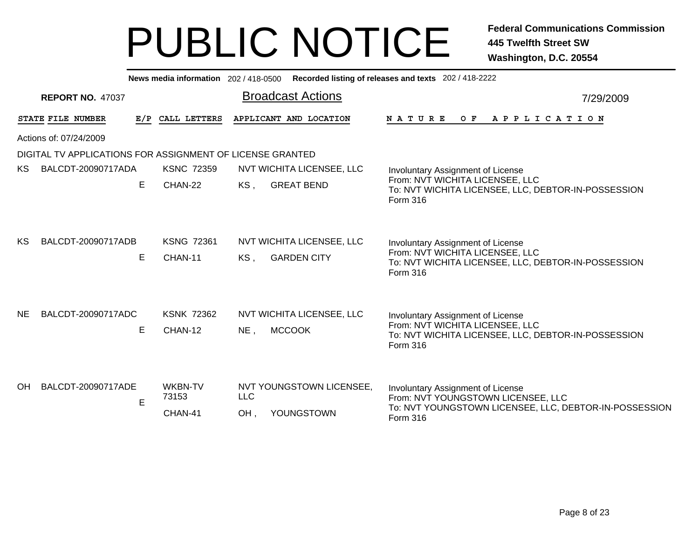|           |                                                           |     |                              | News media information 202/418-0500 Recorded listing of releases and texts 202/418-2222 |                                                                                                                                               |
|-----------|-----------------------------------------------------------|-----|------------------------------|-----------------------------------------------------------------------------------------|-----------------------------------------------------------------------------------------------------------------------------------------------|
|           | <b>REPORT NO. 47037</b>                                   |     |                              | <b>Broadcast Actions</b>                                                                | 7/29/2009                                                                                                                                     |
|           | STATE FILE NUMBER                                         | E/P | CALL LETTERS                 | APPLICANT AND LOCATION                                                                  | N A T U R E<br>OF APPLICATION                                                                                                                 |
|           | Actions of: 07/24/2009                                    |     |                              |                                                                                         |                                                                                                                                               |
|           | DIGITAL TV APPLICATIONS FOR ASSIGNMENT OF LICENSE GRANTED |     |                              |                                                                                         |                                                                                                                                               |
| <b>KS</b> | BALCDT-20090717ADA                                        |     | <b>KSNC 72359</b>            | NVT WICHITA LICENSEE, LLC                                                               | Involuntary Assignment of License                                                                                                             |
|           |                                                           | E   | CHAN-22                      | <b>GREAT BEND</b><br>KS,                                                                | From: NVT WICHITA LICENSEE, LLC<br>To: NVT WICHITA LICENSEE, LLC, DEBTOR-IN-POSSESSION<br><b>Form 316</b>                                     |
| KS        | BALCDT-20090717ADB                                        | Е   | <b>KSNG 72361</b><br>CHAN-11 | NVT WICHITA LICENSEE, LLC<br><b>GARDEN CITY</b><br>$KS$ ,                               | Involuntary Assignment of License<br>From: NVT WICHITA LICENSEE, LLC<br>To: NVT WICHITA LICENSEE, LLC, DEBTOR-IN-POSSESSION<br>Form 316       |
| NE.       | BALCDT-20090717ADC                                        | E   | <b>KSNK 72362</b><br>CHAN-12 | NVT WICHITA LICENSEE, LLC<br><b>MCCOOK</b><br>$NE$ ,                                    | Involuntary Assignment of License<br>From: NVT WICHITA LICENSEE, LLC<br>To: NVT WICHITA LICENSEE, LLC, DEBTOR-IN-POSSESSION<br>Form 316       |
| <b>OH</b> | BALCDT-20090717ADE                                        | E   | WKBN-TV<br>73153<br>CHAN-41  | NVT YOUNGSTOWN LICENSEE,<br><b>LLC</b><br>YOUNGSTOWN<br>OH.                             | Involuntary Assignment of License<br>From: NVT YOUNGSTOWN LICENSEE, LLC<br>To: NVT YOUNGSTOWN LICENSEE, LLC, DEBTOR-IN-POSSESSION<br>Form 316 |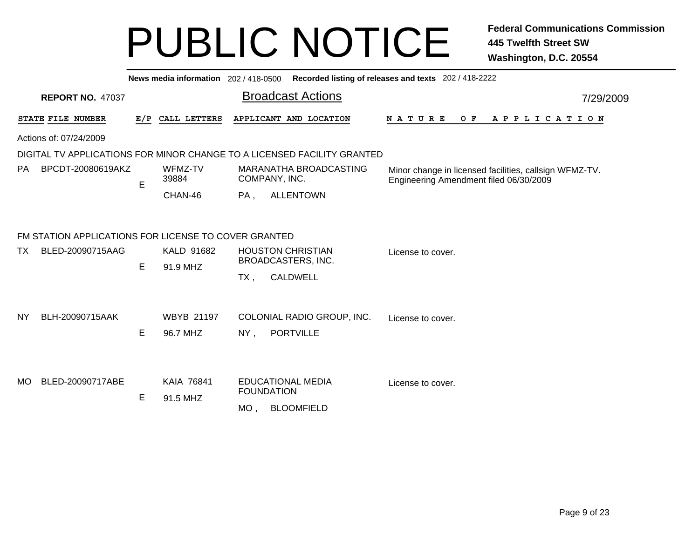|                          |                                                                          |   |                               |               | News media information 202 / 418-0500 Recorded listing of releases and texts 202 / 418-2222 |                                                                                                  |  |  |
|--------------------------|--------------------------------------------------------------------------|---|-------------------------------|---------------|---------------------------------------------------------------------------------------------|--------------------------------------------------------------------------------------------------|--|--|
|                          | <b>REPORT NO. 47037</b>                                                  |   |                               |               | <b>Broadcast Actions</b>                                                                    | 7/29/2009                                                                                        |  |  |
|                          | STATE FILE NUMBER                                                        |   | E/P CALL LETTERS              |               | APPLICANT AND LOCATION                                                                      | A P P L I C A T I O N<br><b>NATURE</b><br>O F                                                    |  |  |
|                          | Actions of: 07/24/2009                                                   |   |                               |               |                                                                                             |                                                                                                  |  |  |
|                          |                                                                          |   |                               |               | DIGITAL TV APPLICATIONS FOR MINOR CHANGE TO A LICENSED FACILITY GRANTED                     |                                                                                                  |  |  |
| BPCDT-20080619AKZ<br>PA. |                                                                          | E | WFMZ-TV<br>39884              |               | MARANATHA BROADCASTING<br>COMPANY, INC.                                                     | Minor change in licensed facilities, callsign WFMZ-TV.<br>Engineering Amendment filed 06/30/2009 |  |  |
|                          |                                                                          |   | CHAN-46                       | PA,           | <b>ALLENTOWN</b>                                                                            |                                                                                                  |  |  |
| TX.                      | FM STATION APPLICATIONS FOR LICENSE TO COVER GRANTED<br>BLED-20090715AAG | E | KALD 91682<br>91.9 MHZ        |               | <b>HOUSTON CHRISTIAN</b><br>BROADCASTERS, INC.                                              | License to cover.                                                                                |  |  |
| NY.                      | BLH-20090715AAK                                                          | Е | <b>WBYB 21197</b><br>96.7 MHZ | TX,<br>$NY$ , | <b>CALDWELL</b><br>COLONIAL RADIO GROUP, INC.<br><b>PORTVILLE</b>                           | License to cover.                                                                                |  |  |
| <b>MO</b>                | BLED-20090717ABE                                                         | E | <b>KAIA 76841</b><br>91.5 MHZ | $MO$ ,        | <b>EDUCATIONAL MEDIA</b><br><b>FOUNDATION</b><br><b>BLOOMFIELD</b>                          | License to cover.                                                                                |  |  |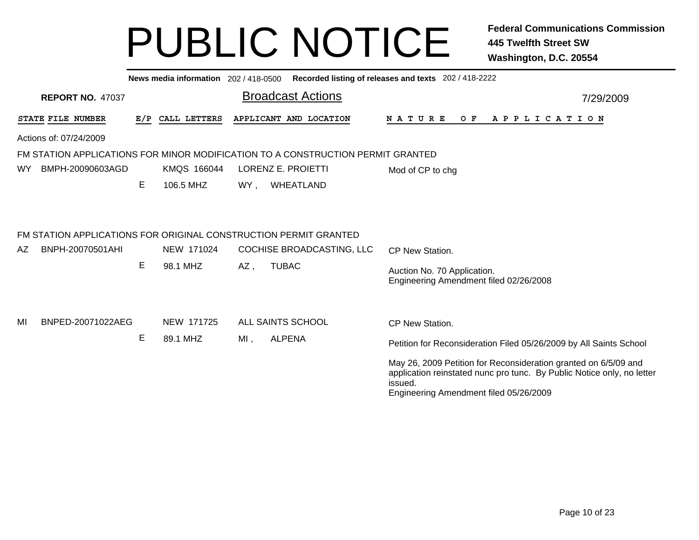|     |                                                                                      |     | News media information 202/418-0500 |     |                           | Recorded listing of releases and texts 202 / 418-2222                                                                                                                                          |           |
|-----|--------------------------------------------------------------------------------------|-----|-------------------------------------|-----|---------------------------|------------------------------------------------------------------------------------------------------------------------------------------------------------------------------------------------|-----------|
|     | <b>REPORT NO. 47037</b>                                                              |     |                                     |     | <b>Broadcast Actions</b>  |                                                                                                                                                                                                | 7/29/2009 |
|     | STATE FILE NUMBER                                                                    | E/P | CALL LETTERS                        |     | APPLICANT AND LOCATION    | <b>NATURE</b><br>O F<br>A P P L I C A T I O N                                                                                                                                                  |           |
|     | Actions of: 07/24/2009                                                               |     |                                     |     |                           |                                                                                                                                                                                                |           |
|     | FM STATION APPLICATIONS FOR MINOR MODIFICATION TO A CONSTRUCTION PERMIT GRANTED      |     |                                     |     |                           |                                                                                                                                                                                                |           |
| WY  | BMPH-20090603AGD                                                                     |     | KMQS 166044                         |     | LORENZ E. PROIETTI        | Mod of CP to chg                                                                                                                                                                               |           |
|     |                                                                                      | E   | 106.5 MHZ                           | WY, | WHEATLAND                 |                                                                                                                                                                                                |           |
| AZ. | FM STATION APPLICATIONS FOR ORIGINAL CONSTRUCTION PERMIT GRANTED<br>BNPH-20070501AHI |     | NEW 171024                          |     | COCHISE BROADCASTING, LLC |                                                                                                                                                                                                |           |
|     |                                                                                      | E   | 98.1 MHZ                            |     | <b>TUBAC</b>              | CP New Station.                                                                                                                                                                                |           |
|     |                                                                                      |     |                                     | AZ, |                           | Auction No. 70 Application.<br>Engineering Amendment filed 02/26/2008                                                                                                                          |           |
| MI  | BNPED-20071022AEG                                                                    |     | NEW 171725                          |     | ALL SAINTS SCHOOL         | <b>CP New Station.</b>                                                                                                                                                                         |           |
|     |                                                                                      | Е   | 89.1 MHZ                            | MI, | <b>ALPENA</b>             | Petition for Reconsideration Filed 05/26/2009 by All Saints School                                                                                                                             |           |
|     |                                                                                      |     |                                     |     |                           | May 26, 2009 Petition for Reconsideration granted on 6/5/09 and<br>application reinstated nunc pro tunc. By Public Notice only, no letter<br>issued.<br>Engineering Amendment filed 05/26/2009 |           |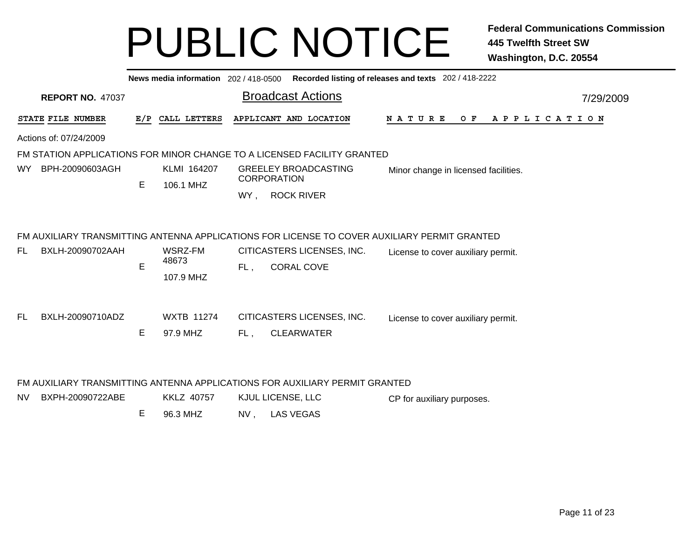|                               |     |                               |                             | News media information 202 / 418-0500 Recorded listing of releases and texts 202 / 418-2222                                                     |                                               |           |
|-------------------------------|-----|-------------------------------|-----------------------------|-------------------------------------------------------------------------------------------------------------------------------------------------|-----------------------------------------------|-----------|
| <b>REPORT NO. 47037</b>       |     |                               |                             | <b>Broadcast Actions</b>                                                                                                                        |                                               | 7/29/2009 |
| STATE FILE NUMBER             | E/P | CALL LETTERS                  |                             | APPLICANT AND LOCATION                                                                                                                          | <b>NATURE</b><br>O F<br>A P P L I C A T I O N |           |
| Actions of: 07/24/2009        |     |                               |                             |                                                                                                                                                 |                                               |           |
|                               |     |                               |                             | FM STATION APPLICATIONS FOR MINOR CHANGE TO A LICENSED FACILITY GRANTED                                                                         |                                               |           |
| BPH-20090603AGH<br><b>WY</b>  | E.  | KLMI 164207<br>106.1 MHZ      | <b>GREELEY BROADCASTING</b> |                                                                                                                                                 | Minor change in licensed facilities.          |           |
|                               |     |                               |                             | <b>CORPORATION</b>                                                                                                                              |                                               |           |
|                               |     |                               | WY.                         | <b>ROCK RIVER</b>                                                                                                                               |                                               |           |
| BXLH-20090702AAH<br>FL.       | E   | WSRZ-FM<br>48673<br>107.9 MHZ | FL,                         | FM AUXILIARY TRANSMITTING ANTENNA APPLICATIONS FOR LICENSE TO COVER AUXILIARY PERMIT GRANTED<br>CITICASTERS LICENSES, INC.<br><b>CORAL COVE</b> | License to cover auxiliary permit.            |           |
| BXLH-20090710ADZ<br>FL.       |     | <b>WXTB 11274</b>             |                             | CITICASTERS LICENSES, INC.                                                                                                                      | License to cover auxiliary permit.            |           |
|                               | E   | 97.9 MHZ                      | FL,                         | <b>CLEARWATER</b>                                                                                                                               |                                               |           |
| BXPH-20090722ABE<br><b>NV</b> |     | <b>KKLZ 40757</b>             |                             | FM AUXILIARY TRANSMITTING ANTENNA APPLICATIONS FOR AUXILIARY PERMIT GRANTED<br>KJUL LICENSE, LLC                                                | CP for auxiliary purposes.                    |           |

E 96.3 MHZNV , LAS VEGAS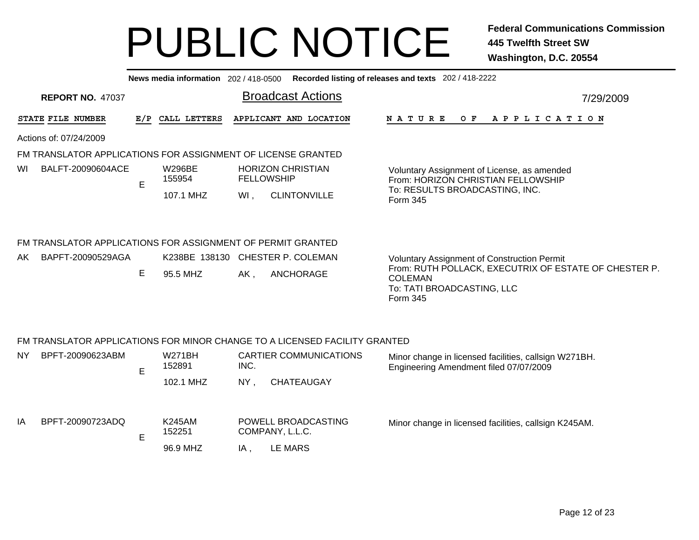|                                                                            |                                                              | News media information 202/418-0500 |      |                                               | Recorded listing of releases and texts 202 / 418-2222                                                             |  |  |  |
|----------------------------------------------------------------------------|--------------------------------------------------------------|-------------------------------------|------|-----------------------------------------------|-------------------------------------------------------------------------------------------------------------------|--|--|--|
| <b>REPORT NO. 47037</b>                                                    |                                                              |                                     |      | <b>Broadcast Actions</b>                      | 7/29/2009                                                                                                         |  |  |  |
| STATE FILE NUMBER                                                          | E/P                                                          | CALL LETTERS                        |      | APPLICANT AND LOCATION                        | O F<br><b>NATURE</b><br>A P P L I C A T I O N                                                                     |  |  |  |
| Actions of: 07/24/2009                                                     |                                                              |                                     |      |                                               |                                                                                                                   |  |  |  |
|                                                                            | FM TRANSLATOR APPLICATIONS FOR ASSIGNMENT OF LICENSE GRANTED |                                     |      |                                               |                                                                                                                   |  |  |  |
| BALFT-20090604ACE<br>WI                                                    | E                                                            | W296BE<br>155954                    |      | <b>HORIZON CHRISTIAN</b><br><b>FELLOWSHIP</b> | Voluntary Assignment of License, as amended<br>From: HORIZON CHRISTIAN FELLOWSHIP                                 |  |  |  |
|                                                                            |                                                              | 107.1 MHZ                           | WI,  | <b>CLINTONVILLE</b>                           | To: RESULTS BROADCASTING, INC.<br>Form 345                                                                        |  |  |  |
| FM TRANSLATOR APPLICATIONS FOR ASSIGNMENT OF PERMIT GRANTED                |                                                              |                                     |      |                                               |                                                                                                                   |  |  |  |
| BAPFT-20090529AGA<br>AK.                                                   |                                                              |                                     |      | K238BE 138130 CHESTER P. COLEMAN              | <b>Voluntary Assignment of Construction Permit</b>                                                                |  |  |  |
|                                                                            | Е                                                            | 95.5 MHZ                            | AK,  | ANCHORAGE                                     | From: RUTH POLLACK, EXECUTRIX OF ESTATE OF CHESTER P.<br><b>COLEMAN</b><br>To: TATI BROADCASTING, LLC<br>Form 345 |  |  |  |
| FM TRANSLATOR APPLICATIONS FOR MINOR CHANGE TO A LICENSED FACILITY GRANTED |                                                              |                                     |      |                                               |                                                                                                                   |  |  |  |
| BPFT-20090623ABM<br><b>NY</b>                                              | E                                                            | <b>W271BH</b><br>152891             | INC. | <b>CARTIER COMMUNICATIONS</b>                 | Minor change in licensed facilities, callsign W271BH.<br>Engineering Amendment filed 07/07/2009                   |  |  |  |
|                                                                            |                                                              | 102.1 MHZ                           | NY,  | <b>CHATEAUGAY</b>                             |                                                                                                                   |  |  |  |

|  | BPFT-20090723ADQ |  | K245AM<br>152251 | POWELL BROADCASTING<br>COMPANY, L.L.C. | Minor change in licensed facilities, callsign K245AM. |
|--|------------------|--|------------------|----------------------------------------|-------------------------------------------------------|
|--|------------------|--|------------------|----------------------------------------|-------------------------------------------------------|

96.9 MHZLE MARS IA

IA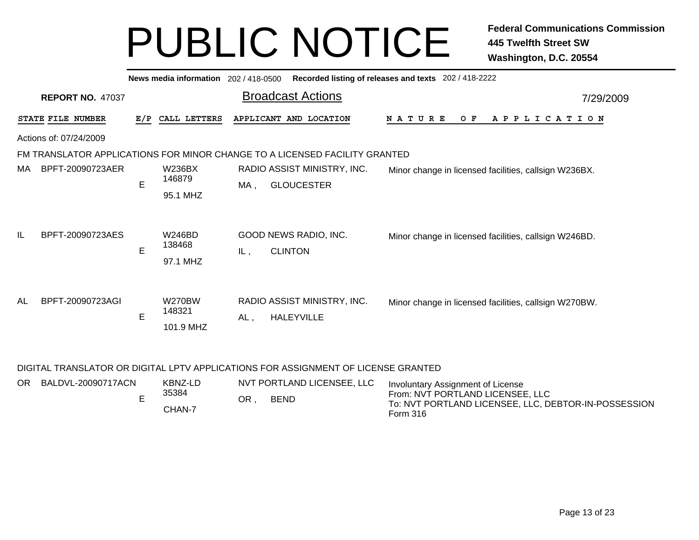|    |                         |     | News media information 202/418-0500  |     |                                                                            | Recorded listing of releases and texts 202 / 418-2222 |
|----|-------------------------|-----|--------------------------------------|-----|----------------------------------------------------------------------------|-------------------------------------------------------|
|    | <b>REPORT NO. 47037</b> |     |                                      |     | <b>Broadcast Actions</b>                                                   | 7/29/2009                                             |
|    | STATE FILE NUMBER       | E/P | CALL LETTERS                         |     | APPLICANT AND LOCATION                                                     | N A T U R E<br>O F<br>A P P L I C A T I O N           |
|    | Actions of: 07/24/2009  |     |                                      |     |                                                                            |                                                       |
|    |                         |     |                                      |     | FM TRANSLATOR APPLICATIONS FOR MINOR CHANGE TO A LICENSED FACILITY GRANTED |                                                       |
| МA | BPFT-20090723AER        | E   | W236BX<br>146879<br>95.1 MHZ         | MA, | RADIO ASSIST MINISTRY, INC.<br><b>GLOUCESTER</b>                           | Minor change in licensed facilities, callsign W236BX. |
| IL | BPFT-20090723AES        | E   | <b>W246BD</b><br>138468<br>97.1 MHZ  | IL, | GOOD NEWS RADIO, INC.<br><b>CLINTON</b>                                    | Minor change in licensed facilities, callsign W246BD. |
| AL | BPFT-20090723AGI        | E   | <b>W270BW</b><br>148321<br>101.9 MHZ | AL, | RADIO ASSIST MINISTRY, INC.<br><b>HALEYVILLE</b>                           | Minor change in licensed facilities, callsign W270BW. |

### DIGITAL TRANSLATOR OR DIGITAL LPTV APPLICATIONS FOR ASSIGNMENT OF LICENSE GRANTED

| OR. | BALDVL-20090717ACN | KBNZ-LD | NVT PORTLAND LICENSEE, LLC<br>Involuntary Assignment of License |             |                                                                                          |
|-----|--------------------|---------|-----------------------------------------------------------------|-------------|------------------------------------------------------------------------------------------|
|     |                    | 35384   | ΟR                                                              | <b>BEND</b> | From: NVT PORTLAND LICENSEE, LLC<br>To: NVT PORTLAND LICENSEE, LLC, DEBTOR-IN-POSSESSION |
|     |                    | CHAN-7  |                                                                 |             | Form 316                                                                                 |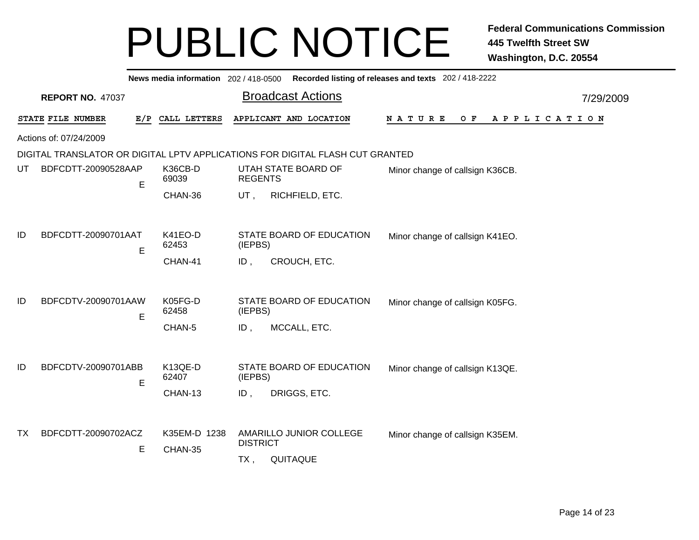|     |                         |     |                         |                 | News media information 202 / 418-0500 Recorded listing of releases and texts 202 / 418-2222 |                                             |           |
|-----|-------------------------|-----|-------------------------|-----------------|---------------------------------------------------------------------------------------------|---------------------------------------------|-----------|
|     | <b>REPORT NO. 47037</b> |     |                         |                 | <b>Broadcast Actions</b>                                                                    |                                             | 7/29/2009 |
|     | STATE FILE NUMBER       | E/P | CALL LETTERS            |                 | APPLICANT AND LOCATION                                                                      | N A T U R E<br>O F<br>A P P L I C A T I O N |           |
|     | Actions of: 07/24/2009  |     |                         |                 |                                                                                             |                                             |           |
|     |                         |     |                         |                 | DIGITAL TRANSLATOR OR DIGITAL LPTV APPLICATIONS FOR DIGITAL FLASH CUT GRANTED               |                                             |           |
| UT  | BDFCDTT-20090528AAP     | E   | K36CB-D<br>69039        | <b>REGENTS</b>  | UTAH STATE BOARD OF                                                                         | Minor change of callsign K36CB.             |           |
|     |                         |     | CHAN-36                 | $UT$ ,          | RICHFIELD, ETC.                                                                             |                                             |           |
|     |                         |     |                         |                 |                                                                                             |                                             |           |
| ID  | BDFCDTT-20090701AAT     | E   | K41EO-D<br>62453        | (IEPBS)         | STATE BOARD OF EDUCATION                                                                    | Minor change of callsign K41EO.             |           |
|     |                         |     | CHAN-41                 | ID,             | CROUCH, ETC.                                                                                |                                             |           |
|     |                         |     |                         |                 |                                                                                             |                                             |           |
| ID  | BDFCDTV-20090701AAW     | E   | K05FG-D<br>62458        | (IEPBS)         | STATE BOARD OF EDUCATION                                                                    | Minor change of callsign K05FG.             |           |
|     |                         |     | CHAN-5                  | ID,             | MCCALL, ETC.                                                                                |                                             |           |
|     |                         |     |                         |                 |                                                                                             |                                             |           |
| ID  | BDFCDTV-20090701ABB     | E   | K13QE-D<br>62407        | (IEPBS)         | STATE BOARD OF EDUCATION                                                                    | Minor change of callsign K13QE.             |           |
|     |                         |     | CHAN-13                 | ID,             | DRIGGS, ETC.                                                                                |                                             |           |
|     |                         |     |                         |                 |                                                                                             |                                             |           |
| TX. | BDFCDTT-20090702ACZ     | Е   | K35EM-D 1238<br>CHAN-35 | <b>DISTRICT</b> | AMARILLO JUNIOR COLLEGE                                                                     | Minor change of callsign K35EM.             |           |
|     |                         |     |                         | TX,             | QUITAQUE                                                                                    |                                             |           |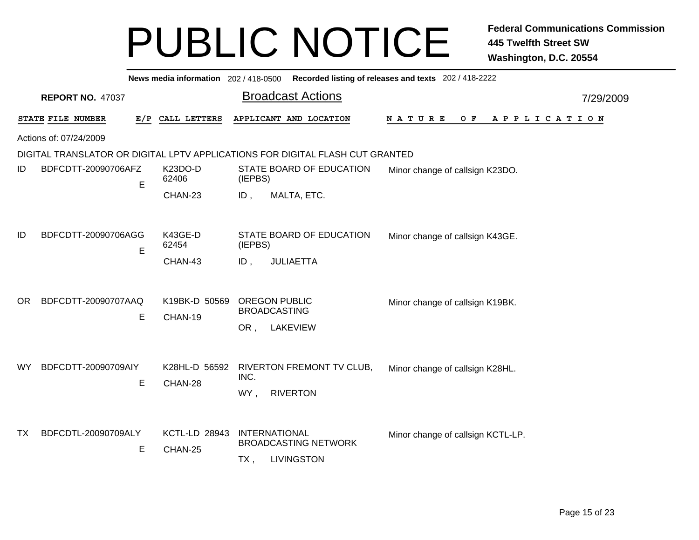|     |                          |                                 | News media information 202 / 418-0500 Recorded listing of releases and texts 202 / 418-2222 |                                             |
|-----|--------------------------|---------------------------------|---------------------------------------------------------------------------------------------|---------------------------------------------|
|     | <b>REPORT NO. 47037</b>  |                                 | <b>Broadcast Actions</b>                                                                    | 7/29/2009                                   |
|     | STATE FILE NUMBER        | E/P CALL LETTERS                | APPLICANT AND LOCATION                                                                      | N A T U R E<br>O F<br>A P P L I C A T I O N |
|     | Actions of: 07/24/2009   |                                 |                                                                                             |                                             |
|     |                          |                                 | DIGITAL TRANSLATOR OR DIGITAL LPTV APPLICATIONS FOR DIGITAL FLASH CUT GRANTED               |                                             |
| ID  | BDFCDTT-20090706AFZ<br>Е | K23DO-D<br>62406                | STATE BOARD OF EDUCATION<br>(IEPBS)                                                         | Minor change of callsign K23DO.             |
|     |                          | CHAN-23                         | ID,<br>MALTA, ETC.                                                                          |                                             |
|     |                          |                                 |                                                                                             |                                             |
| ID  | BDFCDTT-20090706AGG<br>E | K43GE-D<br>62454                | STATE BOARD OF EDUCATION<br>(IEPBS)                                                         | Minor change of callsign K43GE.             |
|     |                          | CHAN-43                         | <b>JULIAETTA</b><br>$ID$ ,                                                                  |                                             |
| OR. | BDFCDTT-20090707AAQ      | K19BK-D 50569                   | <b>OREGON PUBLIC</b><br><b>BROADCASTING</b>                                                 | Minor change of callsign K19BK.             |
|     | Е                        | CHAN-19                         | LAKEVIEW<br>OR,                                                                             |                                             |
|     |                          |                                 |                                                                                             |                                             |
| WY  | BDFCDTT-20090709AIY      | K28HL-D 56592                   | RIVERTON FREMONT TV CLUB,                                                                   | Minor change of callsign K28HL.             |
|     | E                        | CHAN-28                         | INC.                                                                                        |                                             |
|     |                          |                                 | <b>RIVERTON</b><br>WY,                                                                      |                                             |
|     |                          |                                 |                                                                                             |                                             |
| TX  | BDFCDTL-20090709ALY<br>E | <b>KCTL-LD 28943</b><br>CHAN-25 | <b>INTERNATIONAL</b><br><b>BROADCASTING NETWORK</b>                                         | Minor change of callsign KCTL-LP.           |
|     |                          |                                 | <b>LIVINGSTON</b><br>$TX$ ,                                                                 |                                             |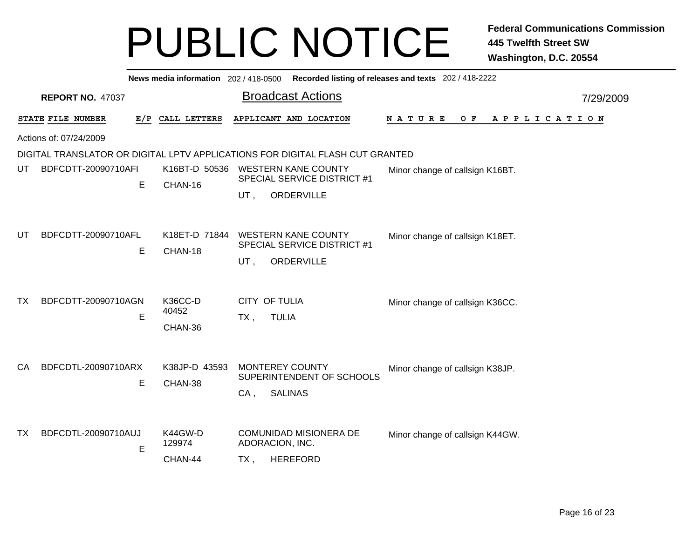|     |                         |   |                          | News media information 202 / 418-0500 Recorded listing of releases and texts 202 / 418-2222  |           |
|-----|-------------------------|---|--------------------------|----------------------------------------------------------------------------------------------|-----------|
|     | <b>REPORT NO. 47037</b> |   |                          | <b>Broadcast Actions</b>                                                                     | 7/29/2009 |
|     | STATE FILE NUMBER       |   | E/P CALL LETTERS         | APPLICANT AND LOCATION<br>NATURE<br>O F<br>APPLICATION                                       |           |
|     | Actions of: 07/24/2009  |   |                          |                                                                                              |           |
|     |                         |   |                          | DIGITAL TRANSLATOR OR DIGITAL LPTV APPLICATIONS FOR DIGITAL FLASH CUT GRANTED                |           |
| UT  | BDFCDTT-20090710AFI     | E | K16BT-D 50536<br>CHAN-16 | <b>WESTERN KANE COUNTY</b><br>Minor change of callsign K16BT.<br>SPECIAL SERVICE DISTRICT #1 |           |
|     |                         |   |                          | ORDERVILLE<br>UT,                                                                            |           |
|     |                         |   |                          |                                                                                              |           |
| UT  | BDFCDTT-20090710AFL     | E | K18ET-D 71844<br>CHAN-18 | <b>WESTERN KANE COUNTY</b><br>Minor change of callsign K18ET.<br>SPECIAL SERVICE DISTRICT #1 |           |
|     |                         |   |                          | ORDERVILLE<br>UT,                                                                            |           |
| TX. | BDFCDTT-20090710AGN     |   | K36CC-D                  | <b>CITY OF TULIA</b><br>Minor change of callsign K36CC.                                      |           |
|     |                         | E | 40452                    | $TX$ ,<br><b>TULIA</b>                                                                       |           |
|     |                         |   | CHAN-36                  |                                                                                              |           |
|     |                         |   |                          |                                                                                              |           |
| CA  | BDFCDTL-20090710ARX     |   | K38JP-D 43593            | <b>MONTEREY COUNTY</b><br>Minor change of callsign K38JP.<br>SUPERINTENDENT OF SCHOOLS       |           |
|     |                         | E | CHAN-38                  | <b>SALINAS</b><br>CA,                                                                        |           |
|     |                         |   |                          |                                                                                              |           |
| TX  | BDFCDTL-20090710AUJ     | E | K44GW-D<br>129974        | <b>COMUNIDAD MISIONERA DE</b><br>Minor change of callsign K44GW.<br>ADORACION, INC.          |           |
|     |                         |   | CHAN-44                  | <b>HEREFORD</b><br>TX,                                                                       |           |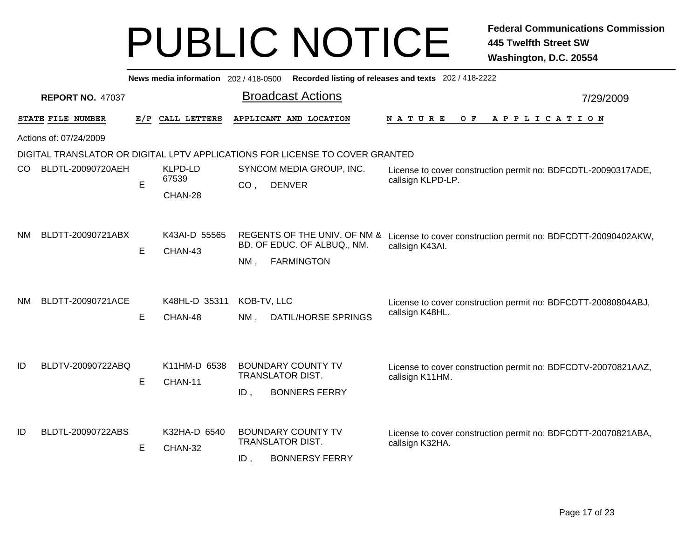|           | Recorded listing of releases and texts 202 / 418-2222<br>News media information 202/418-0500 |     |                             |                                                                                                                                                                             |           |  |  |  |  |
|-----------|----------------------------------------------------------------------------------------------|-----|-----------------------------|-----------------------------------------------------------------------------------------------------------------------------------------------------------------------------|-----------|--|--|--|--|
|           | <b>REPORT NO. 47037</b>                                                                      |     |                             | <b>Broadcast Actions</b>                                                                                                                                                    | 7/29/2009 |  |  |  |  |
|           | STATE FILE NUMBER                                                                            | E/P | CALL LETTERS                | APPLICANT AND LOCATION<br>N A T U R E<br>O F<br>APPLICATION                                                                                                                 |           |  |  |  |  |
|           | Actions of: 07/24/2009                                                                       |     |                             |                                                                                                                                                                             |           |  |  |  |  |
|           |                                                                                              |     |                             | DIGITAL TRANSLATOR OR DIGITAL LPTV APPLICATIONS FOR LICENSE TO COVER GRANTED                                                                                                |           |  |  |  |  |
| CO.       | BLDTL-20090720AEH                                                                            | E   | KLPD-LD<br>67539<br>CHAN-28 | SYNCOM MEDIA GROUP, INC.<br>License to cover construction permit no: BDFCDTL-20090317ADE,<br>callsign KLPD-LP.<br><b>DENVER</b><br>CO,                                      |           |  |  |  |  |
| NM.       | BLDTT-20090721ABX                                                                            | E   | K43AI-D 55565<br>CHAN-43    | REGENTS OF THE UNIV. OF NM & License to cover construction permit no: BDFCDTT-20090402AKW,<br>BD. OF EDUC. OF ALBUQ., NM.<br>callsign K43AI.<br><b>FARMINGTON</b><br>$NM$ , |           |  |  |  |  |
| <b>NM</b> | BLDTT-20090721ACE                                                                            | E   | K48HL-D 35311<br>CHAN-48    | KOB-TV, LLC<br>License to cover construction permit no: BDFCDTT-20080804ABJ,<br>callsign K48HL.<br>DATIL/HORSE SPRINGS<br>$NM$ ,                                            |           |  |  |  |  |
| ID        | BLDTV-20090722ABQ                                                                            | E   | K11HM-D 6538<br>CHAN-11     | <b>BOUNDARY COUNTY TV</b><br>License to cover construction permit no: BDFCDTV-20070821AAZ,<br>TRANSLATOR DIST.<br>callsign K11HM.<br>$ID$ ,<br><b>BONNERS FERRY</b>         |           |  |  |  |  |
| ID        | BLDTL-20090722ABS                                                                            | Е   | K32HA-D 6540<br>CHAN-32     | <b>BOUNDARY COUNTY TV</b><br>License to cover construction permit no: BDFCDTT-20070821ABA,<br>TRANSLATOR DIST.<br>callsign K32HA.<br><b>BONNERSY FERRY</b><br>ID            |           |  |  |  |  |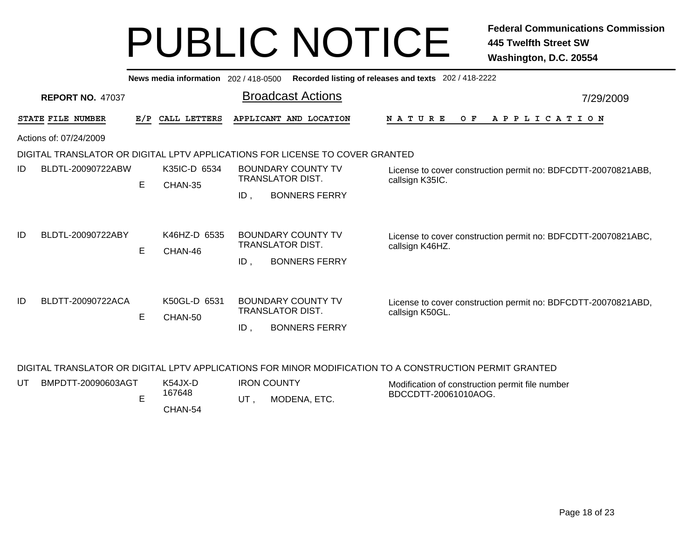| Recorded listing of releases and texts 202/418-2222<br>News media information $202/418-0500$ |                                             |                         |                                                                              |                                                                                  |  |  |
|----------------------------------------------------------------------------------------------|---------------------------------------------|-------------------------|------------------------------------------------------------------------------|----------------------------------------------------------------------------------|--|--|
| <b>REPORT NO. 47037</b>                                                                      |                                             |                         | <b>Broadcast Actions</b>                                                     | 7/29/2009                                                                        |  |  |
|                                                                                              | E/P                                         |                         | APPLICANT AND LOCATION                                                       | O F<br>A P P L I C A T I O N<br><b>NATURE</b>                                    |  |  |
|                                                                                              |                                             |                         |                                                                              |                                                                                  |  |  |
|                                                                                              |                                             |                         |                                                                              |                                                                                  |  |  |
| BLDTL-20090722ABW                                                                            | E                                           | K35IC-D 6534<br>CHAN-35 | <b>BOUNDARY COUNTY TV</b><br>TRANSLATOR DIST.<br><b>BONNERS FERRY</b><br>ID. | License to cover construction permit no: BDFCDTT-20070821ABB,<br>callsign K35IC. |  |  |
| BLDTL-20090722ABY                                                                            | E                                           | K46HZ-D 6535<br>CHAN-46 | <b>BOUNDARY COUNTY TV</b><br>TRANSLATOR DIST.<br>ID,<br><b>BONNERS FERRY</b> | License to cover construction permit no: BDFCDTT-20070821ABC,<br>callsign K46HZ. |  |  |
| BLDTT-20090722ACA                                                                            | E                                           | K50GL-D 6531<br>CHAN-50 | <b>BOUNDARY COUNTY TV</b><br>TRANSLATOR DIST.<br><b>BONNERS FERRY</b><br>ID, | License to cover construction permit no: BDFCDTT-20070821ABD,<br>callsign K50GL. |  |  |
|                                                                                              | STATE FILE NUMBER<br>Actions of: 07/24/2009 |                         | CALL LETTERS                                                                 | DIGITAL TRANSLATOR OR DIGITAL LPTV APPLICATIONS FOR LICENSE TO COVER GRANTED     |  |  |

### DIGITAL TRANSLATOR OR DIGITAL LPTV APPLICATIONS FOR MINOR MODIFICATION TO A CONSTRUCTION PERMIT GRANTED

| BMPDTT-20090603AGT | K54JX-D | <b>IRON COUNTY</b> | Modification of construction permit file number |
|--------------------|---------|--------------------|-------------------------------------------------|
|                    | 167648  | MODENA, ETC.       | BDCCDTT-20061010AOG.                            |
|                    | CHAN-54 |                    |                                                 |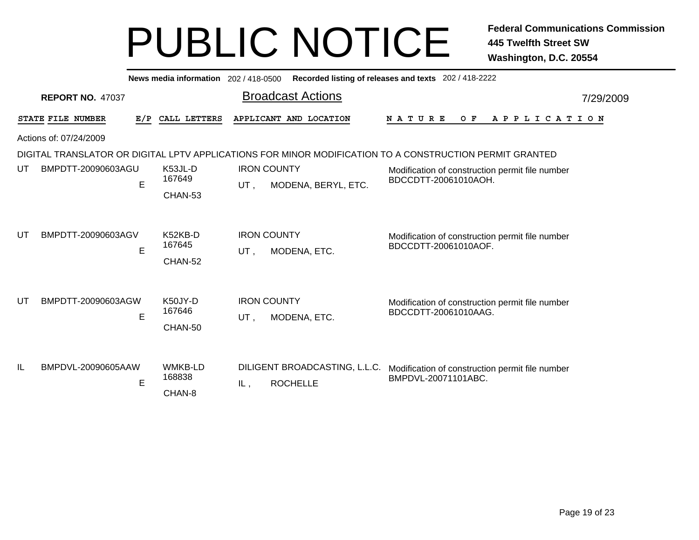|    | Recorded listing of releases and texts 202 / 418-2222<br>News media information 202 / 418-0500 |     |                                    |     |                                                  |                                                                                                         |           |  |
|----|------------------------------------------------------------------------------------------------|-----|------------------------------------|-----|--------------------------------------------------|---------------------------------------------------------------------------------------------------------|-----------|--|
|    | <b>REPORT NO. 47037</b>                                                                        |     |                                    |     | <b>Broadcast Actions</b>                         |                                                                                                         | 7/29/2009 |  |
|    | STATE FILE NUMBER                                                                              | E/P | CALL LETTERS                       |     | APPLICANT AND LOCATION                           | <b>NATURE</b><br>O F<br>A P P L I C A T I O N                                                           |           |  |
|    | Actions of: 07/24/2009                                                                         |     |                                    |     |                                                  |                                                                                                         |           |  |
|    |                                                                                                |     |                                    |     |                                                  | DIGITAL TRANSLATOR OR DIGITAL LPTV APPLICATIONS FOR MINOR MODIFICATION TO A CONSTRUCTION PERMIT GRANTED |           |  |
| UT | BMPDTT-20090603AGU                                                                             | E   | K53JL-D<br>167649<br>CHAN-53       | UT, | <b>IRON COUNTY</b><br>MODENA, BERYL, ETC.        | Modification of construction permit file number<br>BDCCDTT-20061010AOH.                                 |           |  |
| UT | BMPDTT-20090603AGV                                                                             | E   | K52KB-D<br>167645<br>CHAN-52       | UT, | <b>IRON COUNTY</b><br>MODENA, ETC.               | Modification of construction permit file number<br>BDCCDTT-20061010AOF.                                 |           |  |
| UT | BMPDTT-20090603AGW                                                                             | E   | K50JY-D<br>167646<br>CHAN-50       | UT, | <b>IRON COUNTY</b><br>MODENA, ETC.               | Modification of construction permit file number<br>BDCCDTT-20061010AAG.                                 |           |  |
| IL | BMPDVL-20090605AAW                                                                             | E   | <b>WMKB-LD</b><br>168838<br>CHAN-8 | IL, | DILIGENT BROADCASTING, L.L.C.<br><b>ROCHELLE</b> | Modification of construction permit file number<br>BMPDVL-20071101ABC.                                  |           |  |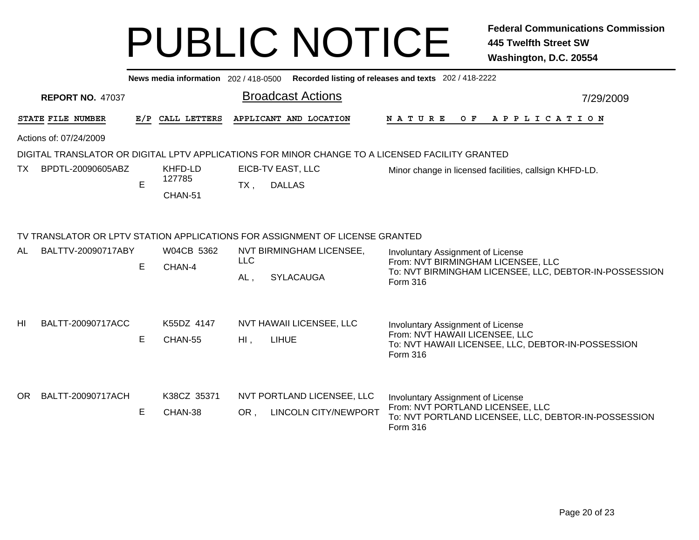|    |                         |     | News media information 202 / 418-0500 |                                                                              | Recorded listing of releases and texts 202 / 418-2222                                                                                         |  |  |  |  |  |
|----|-------------------------|-----|---------------------------------------|------------------------------------------------------------------------------|-----------------------------------------------------------------------------------------------------------------------------------------------|--|--|--|--|--|
|    | <b>REPORT NO. 47037</b> |     |                                       | <b>Broadcast Actions</b>                                                     | 7/29/2009                                                                                                                                     |  |  |  |  |  |
|    | STATE FILE NUMBER       | E/P | CALL LETTERS                          | APPLICANT AND LOCATION                                                       | <b>NATURE</b><br>O F<br>A P P L I C A T I O N                                                                                                 |  |  |  |  |  |
|    | Actions of: 07/24/2009  |     |                                       |                                                                              |                                                                                                                                               |  |  |  |  |  |
|    |                         |     |                                       |                                                                              | DIGITAL TRANSLATOR OR DIGITAL LPTV APPLICATIONS FOR MINOR CHANGE TO A LICENSED FACILITY GRANTED                                               |  |  |  |  |  |
| TX | BPDTL-20090605ABZ       | E   | KHFD-LD<br>127785<br>CHAN-51          | EICB-TV EAST, LLC<br><b>DALLAS</b><br>TX,                                    | Minor change in licensed facilities, callsign KHFD-LD.                                                                                        |  |  |  |  |  |
|    |                         |     |                                       | TV TRANSLATOR OR LPTV STATION APPLICATIONS FOR ASSIGNMENT OF LICENSE GRANTED |                                                                                                                                               |  |  |  |  |  |
| AL | BALTTV-20090717ABY      | E   | W04CB 5362<br>CHAN-4                  | NVT BIRMINGHAM LICENSEE,<br><b>LLC</b><br><b>SYLACAUGA</b><br>AL,            | Involuntary Assignment of License<br>From: NVT BIRMINGHAM LICENSEE, LLC<br>To: NVT BIRMINGHAM LICENSEE, LLC, DEBTOR-IN-POSSESSION<br>Form 316 |  |  |  |  |  |
| HI | BALTT-20090717ACC       | E   | K55DZ 4147<br>CHAN-55                 | NVT HAWAII LICENSEE, LLC<br><b>LIHUE</b><br>HI,                              | Involuntary Assignment of License<br>From: NVT HAWAII LICENSEE, LLC<br>To: NVT HAWAII LICENSEE, LLC, DEBTOR-IN-POSSESSION<br><b>Form 316</b>  |  |  |  |  |  |
| OR | BALTT-20090717ACH       | Е   | K38CZ 35371<br>CHAN-38                | NVT PORTLAND LICENSEE, LLC<br><b>LINCOLN CITY/NEWPORT</b><br>OR,             | Involuntary Assignment of License<br>From: NVT PORTLAND LICENSEE, LLC<br>To: NVT PORTLAND LICENSEE, LLC, DEBTOR-IN-POSSESSION<br>Form 316     |  |  |  |  |  |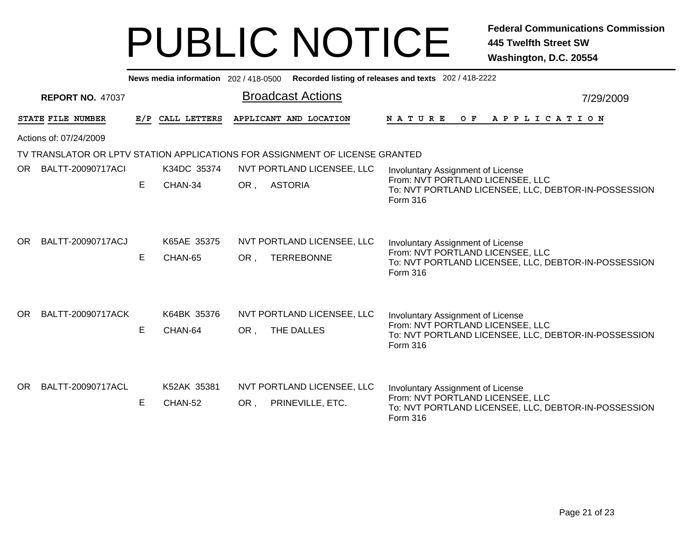|     |                         |     | News media information 202 / 418-0500 |                                                                              | Recorded listing of releases and texts 202 / 418-2222                                                                                                   |
|-----|-------------------------|-----|---------------------------------------|------------------------------------------------------------------------------|---------------------------------------------------------------------------------------------------------------------------------------------------------|
|     | <b>REPORT NO. 47037</b> |     |                                       | <b>Broadcast Actions</b>                                                     | 7/29/2009                                                                                                                                               |
|     | STATE FILE NUMBER       | E/P | CALL LETTERS                          | APPLICANT AND LOCATION                                                       | <b>NATURE</b><br>O F<br>A P P L I C A T I O N                                                                                                           |
|     | Actions of: 07/24/2009  |     |                                       |                                                                              |                                                                                                                                                         |
|     |                         |     |                                       | TV TRANSLATOR OR LPTV STATION APPLICATIONS FOR ASSIGNMENT OF LICENSE GRANTED |                                                                                                                                                         |
| OR. | BALTT-20090717ACI       |     | K34DC 35374                           | NVT PORTLAND LICENSEE, LLC                                                   | Involuntary Assignment of License                                                                                                                       |
|     |                         | E   | CHAN-34                               | OR,<br><b>ASTORIA</b>                                                        | From: NVT PORTLAND LICENSEE, LLC<br>To: NVT PORTLAND LICENSEE, LLC, DEBTOR-IN-POSSESSION<br>Form 316                                                    |
| OR. | BALTT-20090717ACJ       | Е   | K65AE 35375<br>CHAN-65                | NVT PORTLAND LICENSEE, LLC<br><b>TERREBONNE</b><br>OR.                       | Involuntary Assignment of License<br>From: NVT PORTLAND LICENSEE, LLC<br>To: NVT PORTLAND LICENSEE, LLC, DEBTOR-IN-POSSESSION<br><b>Form 316</b>        |
| OR. | BALTT-20090717ACK       | Е   | K64BK 35376<br>CHAN-64                | NVT PORTLAND LICENSEE, LLC<br>THE DALLES<br>OR.                              | <b>Involuntary Assignment of License</b><br>From: NVT PORTLAND LICENSEE, LLC<br>To: NVT PORTLAND LICENSEE, LLC, DEBTOR-IN-POSSESSION<br><b>Form 316</b> |
| OR. | BALTT-20090717ACL       | Е   | K52AK 35381<br>CHAN-52                | NVT PORTLAND LICENSEE, LLC<br>PRINEVILLE, ETC.<br>OR,                        | <b>Involuntary Assignment of License</b><br>From: NVT PORTLAND LICENSEE, LLC<br>To: NVT PORTLAND LICENSEE, LLC, DEBTOR-IN-POSSESSION<br><b>Form 316</b> |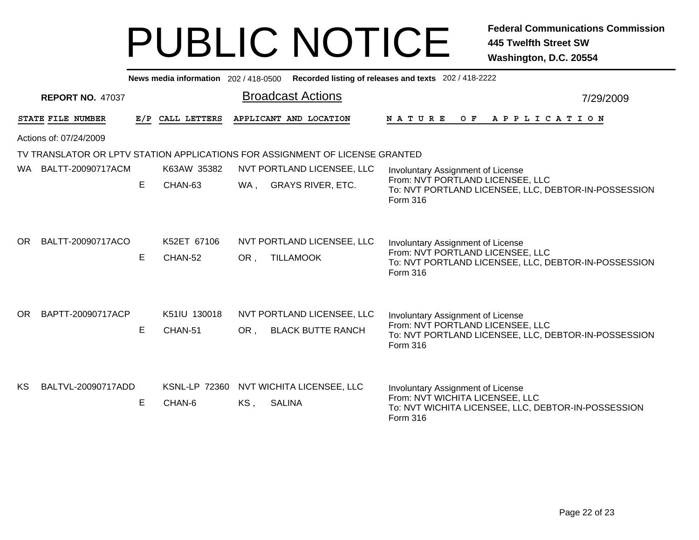|                                                                              |                         |     | News media information 202 / 418-0500 |                          |                                                        | Recorded listing of releases and texts 202 / 418-2222                                                                                            |           |  |  |  |  |
|------------------------------------------------------------------------------|-------------------------|-----|---------------------------------------|--------------------------|--------------------------------------------------------|--------------------------------------------------------------------------------------------------------------------------------------------------|-----------|--|--|--|--|
|                                                                              | <b>REPORT NO. 47037</b> |     |                                       | <b>Broadcast Actions</b> |                                                        |                                                                                                                                                  | 7/29/2009 |  |  |  |  |
|                                                                              | STATE FILE NUMBER       | E/P | CALL LETTERS                          |                          | APPLICANT AND LOCATION                                 | <b>NATURE</b><br>OF APPLICATION                                                                                                                  |           |  |  |  |  |
| Actions of: 07/24/2009                                                       |                         |     |                                       |                          |                                                        |                                                                                                                                                  |           |  |  |  |  |
| TV TRANSLATOR OR LPTV STATION APPLICATIONS FOR ASSIGNMENT OF LICENSE GRANTED |                         |     |                                       |                          |                                                        |                                                                                                                                                  |           |  |  |  |  |
| WA.                                                                          | BALTT-20090717ACM       |     | K63AW 35382                           |                          | NVT PORTLAND LICENSEE, LLC                             | Involuntary Assignment of License                                                                                                                |           |  |  |  |  |
|                                                                              |                         | Е   | CHAN-63                               | WA,                      | <b>GRAYS RIVER, ETC.</b>                               | From: NVT PORTLAND LICENSEE, LLC<br>To: NVT PORTLAND LICENSEE, LLC, DEBTOR-IN-POSSESSION<br>Form 316                                             |           |  |  |  |  |
| OR.                                                                          | BALTT-20090717ACO       | E   | K52ET 67106<br>CHAN-52                | OR.                      | NVT PORTLAND LICENSEE, LLC<br><b>TILLAMOOK</b>         | Involuntary Assignment of License<br>From: NVT PORTLAND LICENSEE, LLC<br>To: NVT PORTLAND LICENSEE, LLC, DEBTOR-IN-POSSESSION<br><b>Form 316</b> |           |  |  |  |  |
| OR.                                                                          | BAPTT-20090717ACP       | E   | K51IU 130018<br>CHAN-51               | OR .                     | NVT PORTLAND LICENSEE, LLC<br><b>BLACK BUTTE RANCH</b> | Involuntary Assignment of License<br>From: NVT PORTLAND LICENSEE, LLC<br>To: NVT PORTLAND LICENSEE, LLC, DEBTOR-IN-POSSESSION<br>Form 316        |           |  |  |  |  |
| KS.                                                                          | BALTVL-20090717ADD      | Е   | <b>KSNL-LP 72360</b><br>CHAN-6        | KS,                      | NVT WICHITA LICENSEE, LLC<br><b>SALINA</b>             | Involuntary Assignment of License<br>From: NVT WICHITA LICENSEE, LLC<br>To: NVT WICHITA LICENSEE, LLC, DEBTOR-IN-POSSESSION<br>Form 316          |           |  |  |  |  |